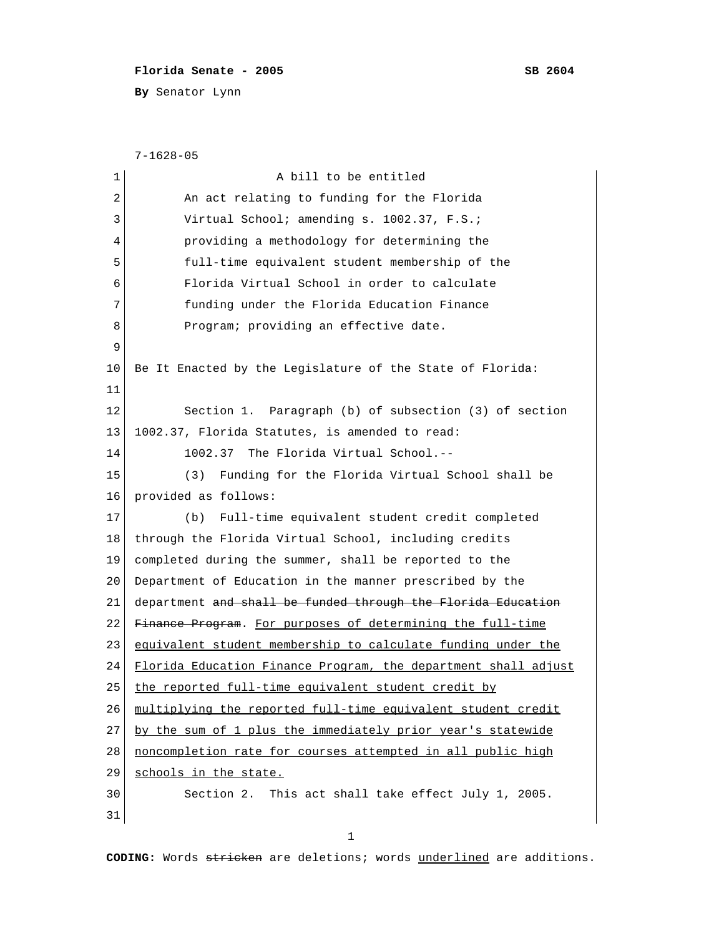## **Florida Senate - 2005 SB 2604**

**By** Senator Lynn

```
 7-1628-05
 1 a bill to be entitled
 2 An act relating to funding for the Florida
 3 Virtual School; amending s. 1002.37, F.S.;
 4 providing a methodology for determining the
  5 full-time equivalent student membership of the
  6 Florida Virtual School in order to calculate
 7 funding under the Florida Education Finance
 8 Program; providing an effective date.
 9 
10 Be It Enacted by the Legislature of the State of Florida:
11 
12 Section 1. Paragraph (b) of subsection (3) of section
13 | 1002.37, Florida Statutes, is amended to read:
14 1002.37 The Florida Virtual School.--
15 (3) Funding for the Florida Virtual School shall be
16 provided as follows:
17 (b) Full-time equivalent student credit completed
18 through the Florida Virtual School, including credits
19 completed during the summer, shall be reported to the
20 Department of Education in the manner prescribed by the
21 department and shall be funded through the Florida Education
22 Finance Program. For purposes of determining the full-time
23 equivalent student membership to calculate funding under the
24 Florida Education Finance Program, the department shall adjust
25 the reported full-time equivalent student credit by
26 multiplying the reported full-time equivalent student credit
27 by the sum of 1 plus the immediately prior year's statewide
28 | noncompletion rate for courses attempted in all public high
29 schools in the state.
30 Section 2. This act shall take effect July 1, 2005.
31
```
1

**CODING:** Words stricken are deletions; words underlined are additions.